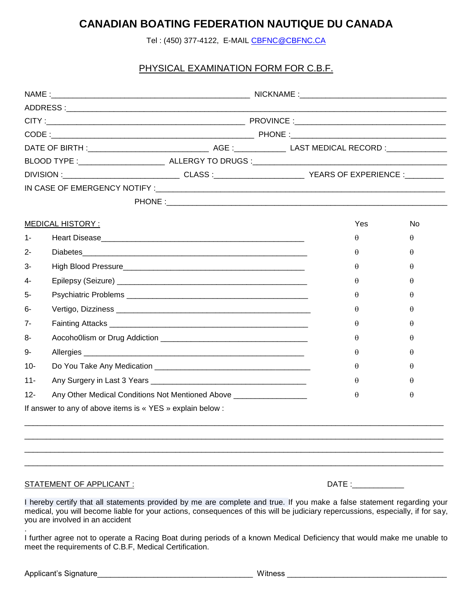## **CANADIAN BOATING FEDERATION NAUTIQUE DU CANADA**

Tel : (450) 377-4122, E-MAIL [CBFNC@CBFNC.CA](mailto:CBFNC@CBFNC.CA)

## PHYSICAL EXAMINATION FORM FOR C.B.F.

|        | <b>MEDICAL HISTORY:</b>                                    |                                                                     |  | Yes      | No.      |  |
|--------|------------------------------------------------------------|---------------------------------------------------------------------|--|----------|----------|--|
| 1-     |                                                            |                                                                     |  | $\theta$ | θ        |  |
| 2-     |                                                            | Diabetes                                                            |  | $\theta$ | θ        |  |
| 3-     |                                                            |                                                                     |  | $\theta$ | $\theta$ |  |
| 4-     |                                                            |                                                                     |  | $\theta$ | θ        |  |
| 5-     |                                                            |                                                                     |  | $\theta$ | θ        |  |
| 6-     |                                                            |                                                                     |  | $\theta$ | $\theta$ |  |
| $7-$   |                                                            |                                                                     |  | $\theta$ | H        |  |
| 8-     |                                                            |                                                                     |  | θ        | θ        |  |
| 9-     |                                                            |                                                                     |  | $\theta$ | θ        |  |
| $10-$  |                                                            |                                                                     |  | $\theta$ | $\theta$ |  |
| $11 -$ |                                                            |                                                                     |  | $\theta$ | $\theta$ |  |
| $12 -$ |                                                            | Any Other Medical Conditions Not Mentioned Above __________________ |  | $\theta$ | θ        |  |
|        | If answer to any of above items is « YES » explain below : |                                                                     |  |          |          |  |

## STATEMENT OF APPLICANT : DATE : DATE : DATE : DATE : DATE : DATE : DATE : DATE : DATE : DATE : DATE : DATE : D

| ١ |  |
|---|--|
|   |  |
|   |  |

I hereby certify that all statements provided by me are complete and true. If you make a false statement regarding your medical, you will become liable for your actions, consequences of this will be judiciary repercussions, especially, if for say, you are involved in an accident

. I further agree not to operate a Racing Boat during periods of a known Medical Deficiency that would make me unable to meet the requirements of C.B.F, Medical Certification.

| Applicant's<br>∵s Sionature | vvinness |  |
|-----------------------------|----------|--|
|                             |          |  |